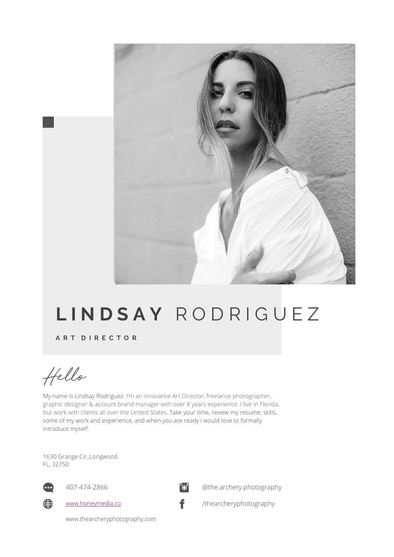

# **L I N D S A Y** R O D R I G U E Z

**A R T D I R E C T O R**

Hello

My name is Lindsay Rodriguez. I'm an innovative Art Director, freelance photographer, graphic designer & account brand manager with over 8 years experience. I live in Florida, but work with clients all over the United States. Take your time, review my resume, skills, some of my work and experience, and when you are ready I would love to formally introduce myself.

1630 Grange Cir.,Longwood FL, 32750



407-474-2866



@the.archery.photography



www.honeymedia.co



/thearcheryphotography

www.thearcheryphotography.com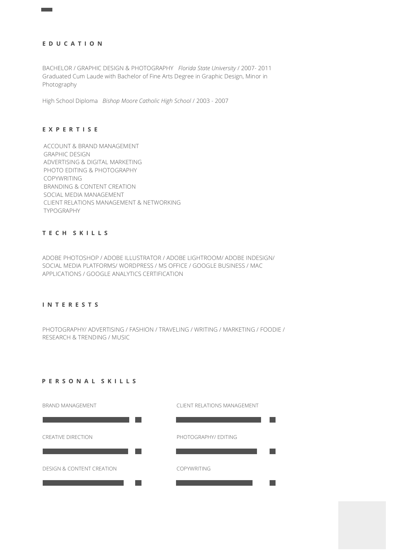# **E D U C A T I O N**

BACHELOR / GRAPHIC DESIGN & PHOTOGRAPHY *Florida State University* / 2007- 2011 Graduated Cum Laude with Bachelor of Fine Arts Degree in Graphic Design, Minor in Photography

High School Diploma *Bishop Moore Catholic High School* / 2003 - 2007

#### **E X P E R T I S E**

ACCOUNT & BRAND MANAGEMENT GRAPHIC DESIGN ADVERTISING & DIGITAL MARKETING PHOTO EDITING & PHOTOGRAPHY COPYWRITING BRANDING & CONTENT CREATION SOCIAL MEDIA MANAGEMENT CLIENT RELATIONS MANAGEMENT & NETWORKING TYPOGRAPHY

# **T E C H S K I L L S**

ADOBE PHOTOSHOP / ADOBE ILLUSTRATOR / ADOBE LIGHTROOM/ ADOBE INDESIGN/ SOCIAL MEDIA PLATFORMS/ WORDPRESS / MS OFFICE / GOOGLE BUSINESS / MAC APPLICATIONS / GOOGLE ANALYTICS CERTIFICATION

#### **I N T E R E S T S**

PHOTOGRAPHY/ ADVERTISING / FASHION / TRAVELING / WRITING / MARKETING / FOODIE / RESEARCH & TRENDING / MUSIC

## **P E R S O N A L S K I L L S**

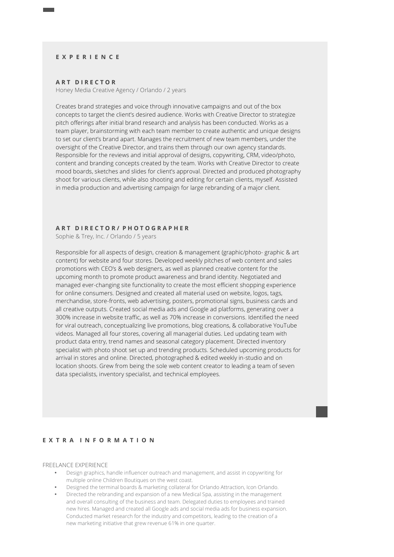#### **E X P E R I E N C E**

#### **A R T D I R E C T O R**

Honey Media Creative Agency / Orlando / 2 years

Creates brand strategies and voice through innovative campaigns and out of the box concepts to target the client's desired audience. Works with Creative Director to strategize pitch offerings after initial brand research and analysis has been conducted. Works as a team player, brainstorming with each team member to create authentic and unique designs to set our client's brand apart. Manages the recruitment of new team members, under the oversight of the Creative Director, and trains them through our own agency standards. Responsible for the reviews and initial approval of designs, copywriting, CRM, video/photo, content and branding concepts created by the team. Works with Creative Director to create mood boards, sketches and slides for client's approval. Directed and produced photography shoot for various clients, while also shooting and editing for certain clients, myself. Assisted in media production and advertising campaign for large rebranding of a major client.

#### **A R T D I R E C T O R / P H O T O G R A P H E R**

Sophie & Trey, Inc. / Orlando / 5 years

Responsible for all aspects of design, creation & management (graphic/photo- graphic & art content) for website and four stores. Developed weekly pitches of web content and sales promotions with CEO's & web designers, as well as planned creative content for the upcoming month to promote product awareness and brand identity. Negotiated and managed ever-changing site functionality to create the most efficient shopping experience for online consumers. Designed and created all material used on website, logos, tags, merchandise, store-fronts, web advertising, posters, promotional signs, business cards and all creative outputs. Created social media ads and Google ad platforms, generating over a 300% increase in website traffic, as well as 70% increase in conversions. Identified the need for viral outreach, conceptualizing live promotions, blog creations, & collaborative YouTube videos. Managed all four stores, covering all managerial duties. Led updating team with product data entry, trend names and seasonal category placement. Directed inventory specialist with photo shoot set up and trending products. Scheduled upcoming products for arrival in stores and online. Directed, photographed & edited weekly in-studio and on location shoots. Grew from being the sole web content creator to leading a team of seven data specialists, inventory specialist, and technical employees.

#### **E X T R A I N F O R M A T I O N**

FREELANCE EXPERIENCE

- Design graphics, handle influencer outreach and management, and assist in copywriting for multiple online Children Boutiques on the west coast.
- Designed the terminal boards & marketing collateral for Orlando Attraction, Icon Orlando.
- Directed the rebranding and expansion of a new Medical Spa, assisting in the management and overall consulting of the business and team. Delegated duties to employees and trained new hires. Managed and created all Google ads and social media ads for business expansion. Conducted market research for the industry and competitors, leading to the creation of a new marketing initiative that grew revenue 61% in one quarter.